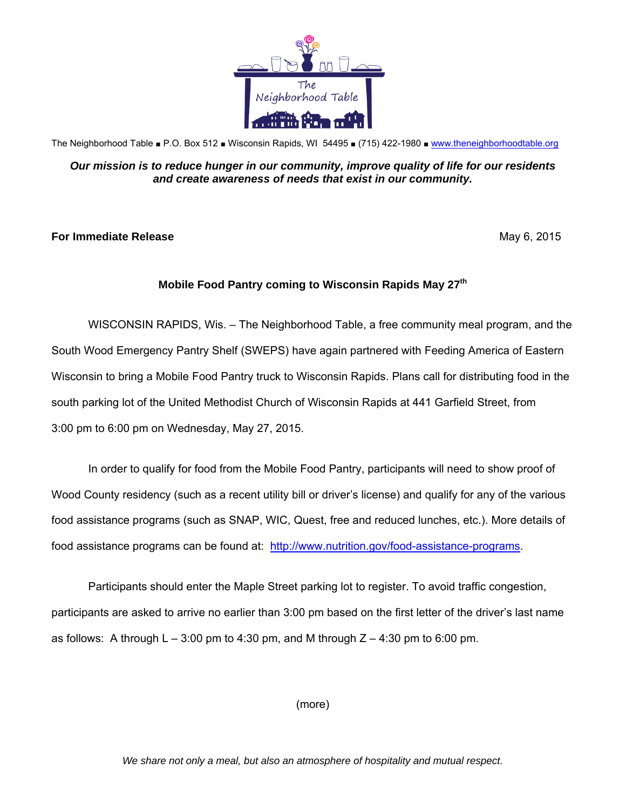

The Neighborhood Table ■ P.O. Box 512 ■ Wisconsin Rapids, WI 54495 ■ (715) 422-1980 ■ [www.theneighborhoodtable.org](http://www.theneighborhoodtable.org)

## *Our mission is to reduce hunger in our community, improve quality of life for our residents and create awareness of needs that exist in our community.*

## **For Immediate Release**  May 6, 2015

## **Mobile Food Pantry coming to Wisconsin Rapids May 27th**

WISCONSIN RAPIDS, Wis. – The Neighborhood Table, a free community meal program, and the South Wood Emergency Pantry Shelf (SWEPS) have again partnered with Feeding America of Eastern Wisconsin to bring a Mobile Food Pantry truck to Wisconsin Rapids. Plans call for distributing food in the south parking lot of the United Methodist Church of Wisconsin Rapids at 441 Garfield Street, from 3:00 pm to 6:00 pm on Wednesday, May 27, 2015.

In order to qualify for food from the Mobile Food Pantry, participants will need to show proof of Wood County residency (such as a recent utility bill or driver's license) and qualify for any of the various food assistance programs (such as SNAP, WIC, Quest, free and reduced lunches, etc.). More details of food assistance programs can be found at: [http://www.nutrition.gov/food-assistance-programs.](http://www.nutrition.gov/food-assistance-programs)

Participants should enter the Maple Street parking lot to register. To avoid traffic congestion, participants are asked to arrive no earlier than 3:00 pm based on the first letter of the driver's last name as follows: A through  $L - 3:00$  pm to 4:30 pm, and M through  $Z - 4:30$  pm to 6:00 pm.

(more)